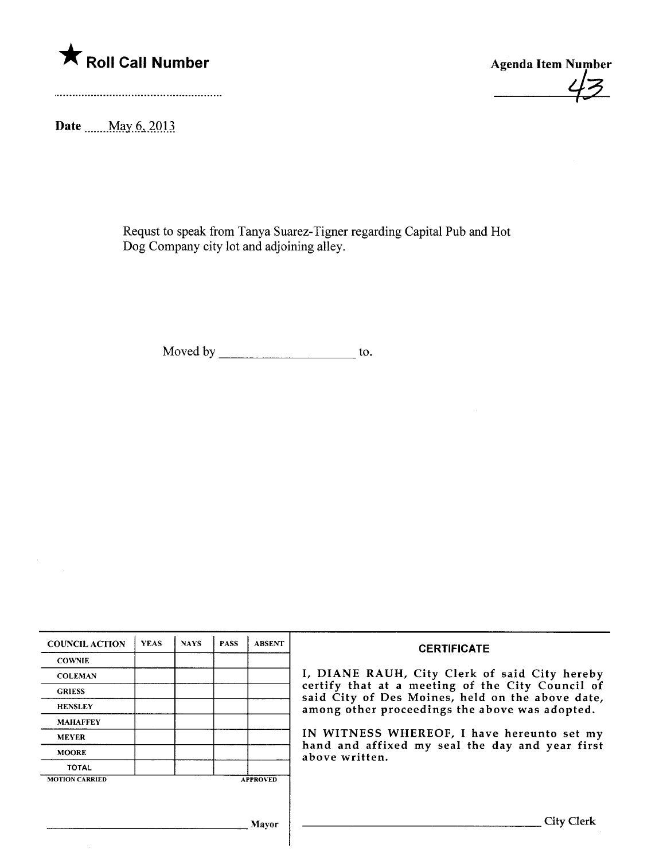

 $\overline{z}$ 

Date \_\_\_\_\_May 6, 2013

Requst to speak from Tanya Suarez-Tigner regarding Capital Pub and Hot Dog Company city lot and adjoining alley.

Moved by  $\frac{1}{\sqrt{1-\frac{1}{\sqrt{1-\frac{1}{\sqrt{1-\frac{1}{\sqrt{1-\frac{1}{\sqrt{1-\frac{1}{\sqrt{1-\frac{1}{\sqrt{1-\frac{1}{\sqrt{1-\frac{1}{\sqrt{1-\frac{1}{\sqrt{1-\frac{1}{\sqrt{1-\frac{1}{\sqrt{1-\frac{1}{\sqrt{1-\frac{1}{\sqrt{1-\frac{1}{\sqrt{1-\frac{1}{\sqrt{1-\frac{1}{\sqrt{1-\frac{1}{\sqrt{1-\frac{1}{\sqrt{1-\frac{1}{\sqrt{1-\frac{1}{\sqrt{1-\frac{1}{\sqrt{1-\frac{1}{\sqrt{1-\frac{1$ 

| <b>COUNCIL ACTION</b> | <b>YEAS</b> | <b>NAYS</b> | <b>PASS</b> | <b>ABSENT</b>   | <b>CERTIFICATE</b>                                                                                                                                     |  |  |  |  |
|-----------------------|-------------|-------------|-------------|-----------------|--------------------------------------------------------------------------------------------------------------------------------------------------------|--|--|--|--|
| <b>COWNIE</b>         |             |             |             |                 |                                                                                                                                                        |  |  |  |  |
| <b>COLEMAN</b>        |             |             |             |                 | I, DIANE RAUH, City Clerk of said City hereby                                                                                                          |  |  |  |  |
| <b>GRIESS</b>         |             |             |             |                 | certify that at a meeting of the City Council of<br>said City of Des Moines, held on the above date,<br>among other proceedings the above was adopted. |  |  |  |  |
| <b>HENSLEY</b>        |             |             |             |                 |                                                                                                                                                        |  |  |  |  |
| <b>MAHAFFEY</b>       |             |             |             |                 |                                                                                                                                                        |  |  |  |  |
| <b>MEYER</b>          |             |             |             |                 | IN WITNESS WHEREOF, I have hereunto set my                                                                                                             |  |  |  |  |
| <b>MOORE</b>          |             |             |             |                 | hand and affixed my seal the day and year first<br>above written.                                                                                      |  |  |  |  |
| <b>TOTAL</b>          |             |             |             |                 |                                                                                                                                                        |  |  |  |  |
| <b>MOTION CARRIED</b> |             |             |             | <b>APPROVED</b> |                                                                                                                                                        |  |  |  |  |
|                       |             |             |             |                 |                                                                                                                                                        |  |  |  |  |
|                       |             |             |             | Mayor           | <b>City Clerk</b>                                                                                                                                      |  |  |  |  |